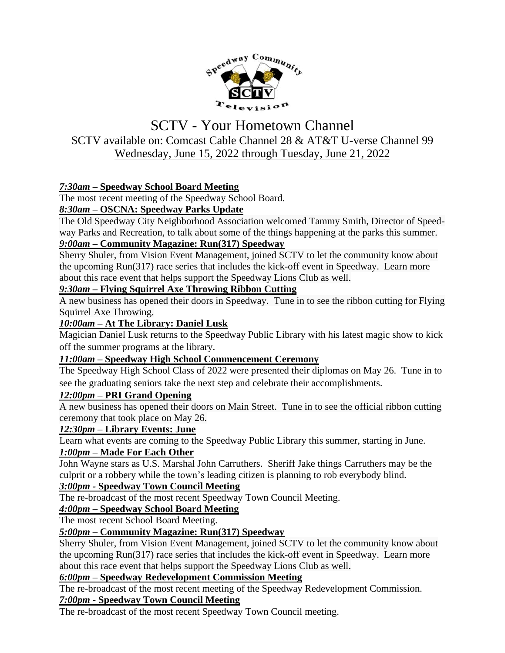

# SCTV - Your Hometown Channel SCTV available on: Comcast Cable Channel 28 & AT&T U-verse Channel 99 Wednesday, June 15, 2022 through Tuesday, June 21, 2022

# *7:30am –* **Speedway School Board Meeting**

The most recent meeting of the Speedway School Board.

# *8:30am –* **OSCNA: Speedway Parks Update**

The Old Speedway City Neighborhood Association welcomed Tammy Smith, Director of Speedway Parks and Recreation, to talk about some of the things happening at the parks this summer. *9:00am –* **Community Magazine: Run(317) Speedway**

Sherry Shuler, from Vision Event Management, joined SCTV to let the community know about the upcoming Run(317) race series that includes the kick-off event in Speedway. Learn more about this race event that helps support the Speedway Lions Club as well.

#### *9:30am –* **Flying Squirrel Axe Throwing Ribbon Cutting**

A new business has opened their doors in Speedway. Tune in to see the ribbon cutting for Flying Squirrel Axe Throwing.

## *10:00am –* **At The Library: Daniel Lusk**

Magician Daniel Lusk returns to the Speedway Public Library with his latest magic show to kick off the summer programs at the library.

#### *11:00am –* **Speedway High School Commencement Ceremony**

The Speedway High School Class of 2022 were presented their diplomas on May 26. Tune in to see the graduating seniors take the next step and celebrate their accomplishments.

#### *12:00pm –* **PRI Grand Opening**

A new business has opened their doors on Main Street. Tune in to see the official ribbon cutting ceremony that took place on May 26.

#### *12:30pm –* **Library Events: June**

Learn what events are coming to the Speedway Public Library this summer, starting in June.

#### *1:00pm –* **Made For Each Other**

John Wayne stars as U.S. Marshal John Carruthers. Sheriff Jake things Carruthers may be the culprit or a robbery while the town's leading citizen is planning to rob everybody blind.

#### *3:00pm -* **Speedway Town Council Meeting**

The re-broadcast of the most recent Speedway Town Council Meeting.

# *4:00pm –* **Speedway School Board Meeting**

The most recent School Board Meeting.

#### *5:00pm –* **Community Magazine: Run(317) Speedway**

Sherry Shuler, from Vision Event Management, joined SCTV to let the community know about the upcoming Run(317) race series that includes the kick-off event in Speedway. Learn more about this race event that helps support the Speedway Lions Club as well.

#### *6:00pm –* **Speedway Redevelopment Commission Meeting**

The re-broadcast of the most recent meeting of the Speedway Redevelopment Commission. *7:00pm -* **Speedway Town Council Meeting**

The re-broadcast of the most recent Speedway Town Council meeting.